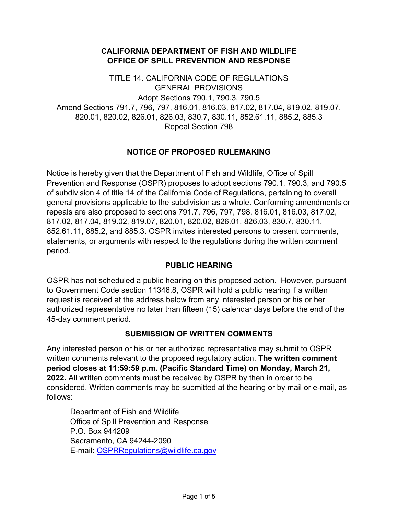### **CALIFORNIA DEPARTMENT OF FISH AND WILDLIFE OFFICE OF SPILL PREVENTION AND RESPONSE**

TITLE 14. CALIFORNIA CODE OF REGULATIONS GENERAL PROVISIONS Adopt Sections 790.1, 790.3, 790.5 Amend Sections 791.7, 796, 797, 816.01, 816.03, 817.02, 817.04, 819.02, 819.07, 820.01, 820.02, 826.01, 826.03, 830.7, 830.11, 852.61.11, 885.2, 885.3 Repeal Section 798

## **NOTICE OF PROPOSED RULEMAKING**

Notice is hereby given that the Department of Fish and Wildlife, Office of Spill Prevention and Response (OSPR) proposes to adopt sections 790.1, 790.3, and 790.5 of subdivision 4 of title 14 of the California Code of Regulations, pertaining to overall general provisions applicable to the subdivision as a whole. Conforming amendments or repeals are also proposed to sections 791.7, 796, 797, 798, 816.01, 816.03, 817.02, 817.02, 817.04, 819.02, 819.07, 820.01, 820.02, 826.01, 826.03, 830.7, 830.11, 852.61.11, 885.2, and 885.3. OSPR invites interested persons to present comments, statements, or arguments with respect to the regulations during the written comment period.

#### **PUBLIC HEARING**

OSPR has not scheduled a public hearing on this proposed action. However, pursuant to Government Code section 11346.8, OSPR will hold a public hearing if a written request is received at the address below from any interested person or his or her authorized representative no later than fifteen (15) calendar days before the end of the 45-day comment period.

#### **SUBMISSION OF WRITTEN COMMENTS**

Any interested person or his or her authorized representative may submit to OSPR written comments relevant to the proposed regulatory action. **The written comment period closes at 11:59:59 p.m. (Pacific Standard Time) on Monday, March 21, 2022.** All written comments must be received by OSPR by then in order to be considered. Written comments may be submitted at the hearing or by mail or e-mail, as follows:

Department of Fish and Wildlife Office of Spill Prevention and Response P.O. Box 944209 Sacramento, CA 94244-2090 E-mail: [OSPRRegulations@wildlife.ca.gov](mailto:OSPRRegulations@wildlife.ca.gov)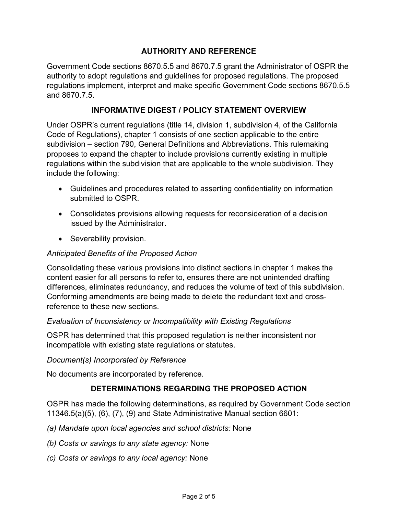# **AUTHORITY AND REFERENCE**

Government Code sections 8670.5.5 and 8670.7.5 grant the Administrator of OSPR the authority to adopt regulations and guidelines for proposed regulations. The proposed regulations implement, interpret and make specific Government Code sections 8670.5.5 and 8670.7.5.

### **INFORMATIVE DIGEST / POLICY STATEMENT OVERVIEW**

Under OSPR's current regulations (title 14, division 1, subdivision 4, of the California Code of Regulations), chapter 1 consists of one section applicable to the entire subdivision – section 790, General Definitions and Abbreviations. This rulemaking proposes to expand the chapter to include provisions currently existing in multiple regulations within the subdivision that are applicable to the whole subdivision. They include the following:

- Guidelines and procedures related to asserting confidentiality on information submitted to OSPR.
- Consolidates provisions allowing requests for reconsideration of a decision issued by the Administrator.
- Severability provision.

### *Anticipated Benefits of the Proposed Action*

Consolidating these various provisions into distinct sections in chapter 1 makes the content easier for all persons to refer to, ensures there are not unintended drafting differences, eliminates redundancy, and reduces the volume of text of this subdivision. Conforming amendments are being made to delete the redundant text and crossreference to these new sections.

#### *Evaluation of Inconsistency or Incompatibility with Existing Regulations*

OSPR has determined that this proposed regulation is neither inconsistent nor incompatible with existing state regulations or statutes.

#### *Document(s) Incorporated by Reference*

No documents are incorporated by reference.

## **DETERMINATIONS REGARDING THE PROPOSED ACTION**

OSPR has made the following determinations, as required by Government Code section 11346.5(a)(5), (6), (7), (9) and State Administrative Manual section 6601:

- *(a) Mandate upon local agencies and school districts:* None
- *(b) Costs or savings to any state agency:* None
- *(c) Costs or savings to any local agency:* None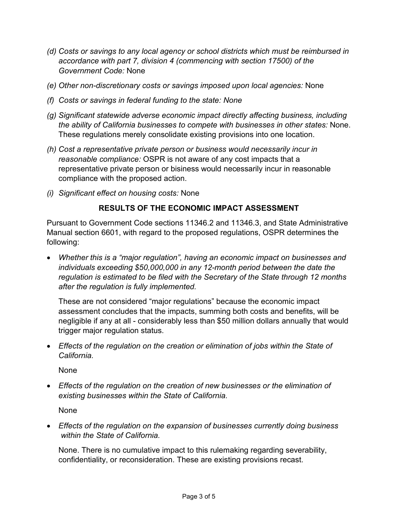- *(d) Costs or savings to any local agency or school districts which must be reimbursed in accordance with part 7, division 4 (commencing with section 17500) of the Government Code:* None
- *(e) Other non-discretionary costs or savings imposed upon local agencies:* None
- *(f) Costs or savings in federal funding to the state: None*
- *(g) Significant statewide adverse economic impact directly affecting business, including the ability of California businesses to compete with businesses in other states:* None. These regulations merely consolidate existing provisions into one location.
- *(h) Cost a representative private person or business would necessarily incur in reasonable compliance:* OSPR is not aware of any cost impacts that a representative private person or bisiness would necessarily incur in reasonable compliance with the proposed action.
- *(i) Significant effect on housing costs:* None

## **RESULTS OF THE ECONOMIC IMPACT ASSESSMENT**

Pursuant to Government Code sections 11346.2 and 11346.3, and State Administrative Manual section 6601, with regard to the proposed regulations, OSPR determines the following:

• *Whether this is a "major regulation", having an economic impact on businesses and individuals exceeding \$50,000,000 in any 12-month period between the date the regulation is estimated to be filed with the Secretary of the State through 12 months after the regulation is fully implemented.*

These are not considered "major regulations" because the economic impact assessment concludes that the impacts, summing both costs and benefits, will be negligible if any at all - considerably less than \$50 million dollars annually that would trigger major regulation status.

• *Effects of the regulation on the creation or elimination of jobs within the State of California.*

None

• *Effects of the regulation on the creation of new businesses or the elimination of existing businesses within the State of California.*

None

• *Effects of the regulation on the expansion of businesses currently doing business within the State of California.*

None. There is no cumulative impact to this rulemaking regarding severability, confidentiality, or reconsideration. These are existing provisions recast.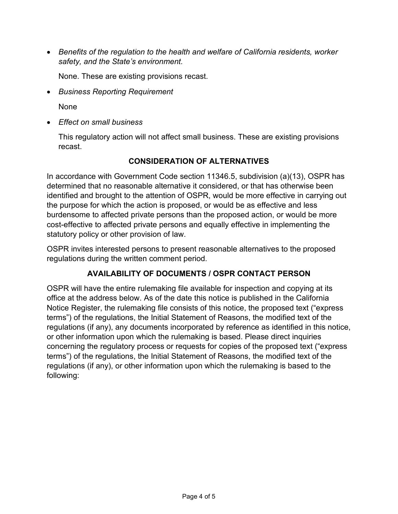• *Benefits of the regulation to the health and welfare of California residents, worker safety, and the State's environment.*

None. These are existing provisions recast.

• *Business Reporting Requirement*

None

• *Effect on small business* 

This regulatory action will not affect small business. These are existing provisions recast.

## **CONSIDERATION OF ALTERNATIVES**

In accordance with Government Code section 11346.5, subdivision (a)(13), OSPR has determined that no reasonable alternative it considered, or that has otherwise been identified and brought to the attention of OSPR, would be more effective in carrying out the purpose for which the action is proposed, or would be as effective and less burdensome to affected private persons than the proposed action, or would be more cost-effective to affected private persons and equally effective in implementing the statutory policy or other provision of law.

OSPR invites interested persons to present reasonable alternatives to the proposed regulations during the written comment period.

## **AVAILABILITY OF DOCUMENTS / OSPR CONTACT PERSON**

OSPR will have the entire rulemaking file available for inspection and copying at its office at the address below. As of the date this notice is published in the California Notice Register, the rulemaking file consists of this notice, the proposed text ("express terms") of the regulations, the Initial Statement of Reasons, the modified text of the regulations (if any), any documents incorporated by reference as identified in this notice, or other information upon which the rulemaking is based. Please direct inquiries concerning the regulatory process or requests for copies of the proposed text ("express terms") of the regulations, the Initial Statement of Reasons, the modified text of the regulations (if any), or other information upon which the rulemaking is based to the following: